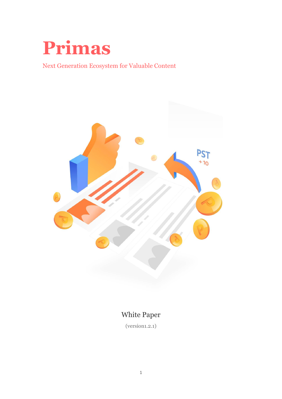

<span id="page-0-0"></span>Next Generation Ecosystem for Valuable Content



## White Paper

(version1.2.1)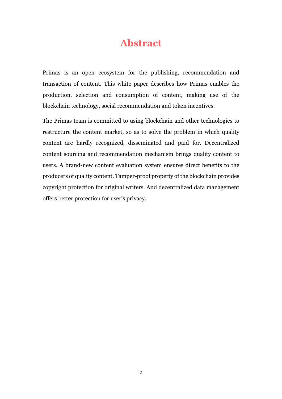## **Abstract**

<span id="page-1-0"></span>Primas is an open ecosystem for the publishing, recommendation and transaction of content. This white paper describes how Primas enables the production, selection and consumption of content, making use of the blockchain technology, social recommendation and token incentives.

The Primas team is committed to using blockchain and other technologies to restructure the content market, so as to solve the problem in which quality content are hardly recognized, disseminated and paid for. Decentralized content sourcing and recommendation mechanism brings quality content to users. A brand-new content evaluation system ensures direct benefits to the producers of quality content. Tamper-proof property of the blockchain provides copyright protection for original writers. And decentralized data management offers better protection for user's privacy.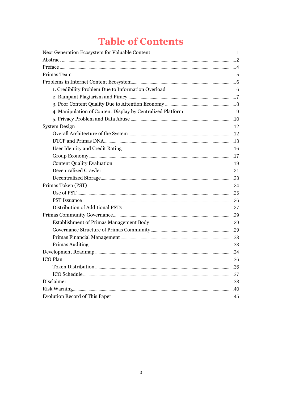# **Table of Contents**

| ICO Plan |  |  |  |  |
|----------|--|--|--|--|
|          |  |  |  |  |
|          |  |  |  |  |
|          |  |  |  |  |
|          |  |  |  |  |
|          |  |  |  |  |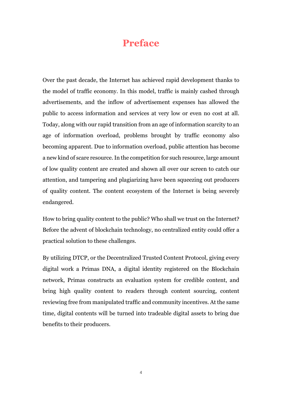## **Preface**

<span id="page-3-0"></span>Over the past decade, the Internet has achieved rapid development thanks to the model of traffic economy. In this model, traffic is mainly cashed through advertisements, and the inflow of advertisement expenses has allowed the public to access information and services at very low or even no cost at all. Today, along with our rapid transition from an age of information scarcity to an age of information overload, problems brought by traffic economy also becoming apparent. Due to information overload, public attention has become a new kind of scare resource.In the competition for such resource, large amount of low quality content are created and shown all over our screen to catch our attention, and tampering and plagiarizing have been squeezing out producers of quality content. The content ecosystem of the Internet is being severely endangered.

How to bring quality content to the public? Who shall we trust on the Internet? Before the advent of blockchain technology, no centralized entity could offer a practical solution to these challenges.

By utilizing DTCP, or the Decentralized Trusted Content Protocol, giving every digital work a Primas DNA, a digital identity registered on the Blockchain network, Primas constructs an evaluation system for credible content, and bring high quality content to readers through content sourcing, content reviewing free from manipulated traffic and community incentives. At the same time, digital contents will be turned into tradeable digital assets to bring due benefits to their producers.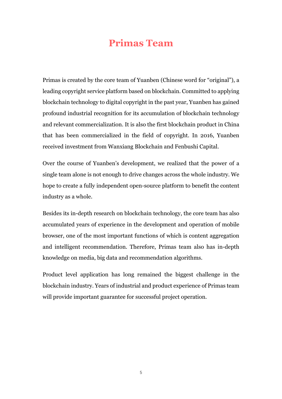## <span id="page-4-0"></span>**Primas Team**

Primas is created by the core team of Yuanben (Chinese word for "original"), a leading copyright service platform based on blockchain. Committed to applying blockchain technology to digital copyright in the past year, Yuanben has gained profound industrial recognition for its accumulation of blockchain technology and relevant commercialization. It is also the first blockchain product in China that has been commercialized in the field of copyright. In 2016, Yuanben received investment from Wanxiang Blockchain and Fenbushi Capital.

Over the course of Yuanben's development, we realized that the power of a single team alone is not enough to drive changes across the whole industry. We hope to create a fully independent open-source platform to benefit the content industry as a whole.

Besides its in-depth research on blockchain technology, the core team has also accumulated years of experience in the development and operation of mobile browser, one of the most important functions of which is content aggregation and intelligent recommendation. Therefore, Primas team also has in-depth knowledge on media, big data and recommendation algorithms.

Product level application has long remained the biggest challenge in the blockchain industry. Years of industrial and product experience of Primas team will provide important guarantee for successful project operation.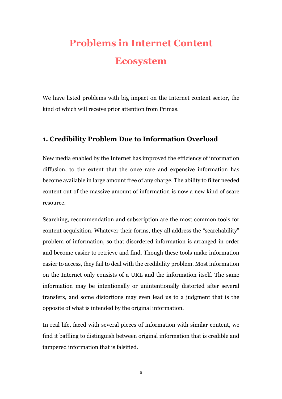# <span id="page-5-0"></span>**Problems in Internet Content Ecosystem**

We have listed problems with big impact on the Internet content sector, the kind of which will receive prior attention from Primas.

## <span id="page-5-1"></span>**1. Credibility Problem Due to Information Overload**

New media enabled by the Internet has improved the efficiency of information diffusion, to the extent that the once rare and expensive information has become available in large amount free of any charge. The ability to filter needed content out of the massive amount of information is now a new kind of scare resource.

Searching, recommendation and subscription are the most common tools for content acquisition. Whatever their forms, they all address the "searchability" problem of information, so that disordered information is arranged in order and become easier to retrieve and find. Though these tools make information easier to access, they fail to deal with the credibility problem. Most information on the Internet only consists of a URL and the information itself. The same information may be intentionally or unintentionally distorted after several transfers, and some distortions may even lead us to a judgment that is the opposite of what is intended by the original information.

In real life, faced with several pieces of information with similar content, we find it baffling to distinguish between original information that is credible and tampered information that is falsified.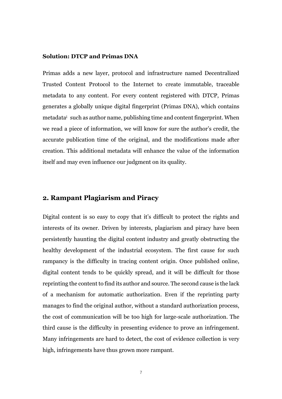#### **Solution: DTCP and Primas DNA**

Primas adds a new layer, protocol and infrastructure named Decentralized Trusted Content Protocol to the Internet to create immutable, traceable metadata to any content. For every content registered with DTCP, Primas generates a globally unique digital fingerprint (Primas DNA), which contains metadata<sup>i</sup> such as author name, publishing time and content fingerprint. When we read a piece of information, we will know for sure the author's credit, the accurate publication time of the original, and the modifications made after creation. This additional metadata will enhance the value of the information itself and may even influence our judgment on its quality.

### <span id="page-6-0"></span>**2. Rampant Plagiarism and Piracy**

Digital content is so easy to copy that it's difficult to protect the rights and interests of its owner. Driven by interests, plagiarism and piracy have been persistently haunting the digital content industry and greatly obstructing the healthy development of the industrial ecosystem. The first cause for such rampancy is the difficulty in tracing content origin. Once published online, digital content tends to be quickly spread, and it will be difficult for those reprinting the content to find its author and source. The second cause is the lack of a mechanism for automatic authorization. Even if the reprinting party manages to find the original author, without a standard authorization process, the cost of communication will be too high for large-scale authorization. The third cause is the difficulty in presenting evidence to prove an infringement. Many infringements are hard to detect, the cost of evidence collection is very high, infringements have thus grown more rampant.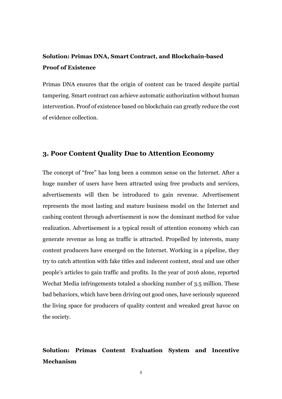## **Solution: Primas DNA, Smart Contract, and Blockchain-based Proof of Existence**

Primas DNA ensures that the origin of content can be traced despite partial tampering. Smart contract can achieve automatic authorization without human intervention. Proof of existence based on blockchain can greatly reduce the cost of evidence collection.

### <span id="page-7-0"></span>**3. Poor Content Quality Due to Attention Economy**

The concept of "free" has long been a common sense on the Internet. After a huge number of users have been attracted using free products and services, advertisements will then be introduced to gain revenue. Advertisement represents the most lasting and mature business model on the Internet and cashing content through advertisement is now the dominant method for value realization. Advertisement is a typical result of attention economy which can generate revenue as long as traffic is attracted. Propelled by interests, many content producers have emerged on the Internet. Working in a pipeline, they try to catch attention with fake titles and indecent content, steal and use other people's articles to gain traffic and profits. In the year of 2016 alone, reported Wechat Media infringements totaled a shocking number of 3.5 million. These bad behaviors, which have been driving out good ones, have seriously squeezed the living space for producers of quality content and wreaked great havoc on the society.

## **Solution: Primas Content Evaluation System and Incentive Mechanism**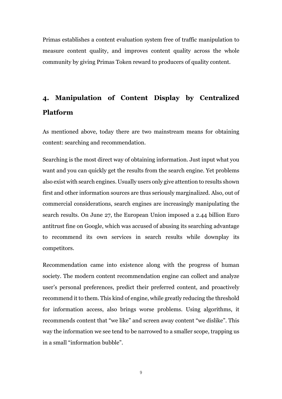Primas establishes a content evaluation system free of traffic manipulation to measure content quality, and improves content quality across the whole community by giving Primas Token reward to producers of quality content.

## <span id="page-8-0"></span>**4. Manipulation of Content Display by Centralized Platform**

As mentioned above, today there are two mainstream means for obtaining content: searching and recommendation.

Searching is the most direct way of obtaining information. Just input what you want and you can quickly get the results from the search engine. Yet problems also exist with search engines. Usually users only give attention to results shown first and other information sources are thus seriously marginalized. Also, out of commercial considerations, search engines are increasingly manipulating the search results. On June 27, the European Union imposed a 2.44 billion Euro antitrust fine on Google, which was accused of abusing its searching advantage to recommend its own services in search results while downplay its competitors.

Recommendation came into existence along with the progress of human society. The modern content recommendation engine can collect and analyze user's personal preferences, predict their preferred content, and proactively recommend it to them. This kind of engine, while greatly reducing the threshold for information access, also brings worse problems. Using algorithms, it recommends content that "we like" and screen away content "we dislike". This way the information we see tend to be narrowed to a smaller scope, trapping us in a small "information bubble".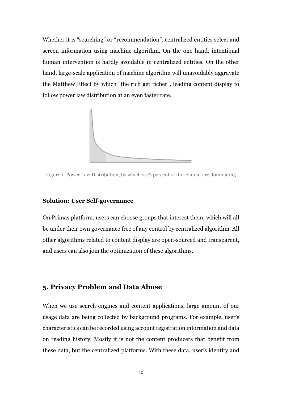Whether it is "searching" or "recommendation", centralized entities select and screen information using machine algorithm. On the one hand, intentional human intervention is hardly avoidable in centralized entities. On the other hand, large-scale application of machine algorithm will unavoidably aggravate the Matthew Effect by which "the rich get richer", leading content display to follow power law distribution at an even faster rate.



Figure 1. Power Law Distribution, by which 20% percent of the content are dominating

#### **Solution: User Self-governance**

On Primas platform, users can choose groups that interest them, which will all be under their own governance free of any control by centralized algorithm. All other algorithms related to content display are open-sourced and transparent, and users can also join the optimization of these algorithms.

### <span id="page-9-0"></span>**5. Privacy Problem and Data Abuse**

When we use search engines and content applications, large amount of our usage data are being collected by background programs. For example, user's characteristics can be recorded using account registration information and data on reading history. Mostly it is not the content producers that benefit from these data, but the centralized platforms. With these data, user's identity and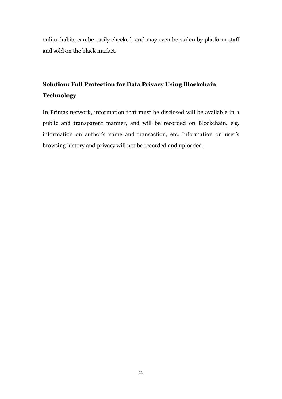online habits can be easily checked, and may even be stolen by platform staff and sold on the black market.

## **Solution: Full Protection for Data Privacy Using Blockchain Technology**

In Primas network, information that must be disclosed will be available in a public and transparent manner, and will be recorded on Blockchain, e.g. information on author's name and transaction, etc. Information on user's browsing history and privacy will not be recorded and uploaded.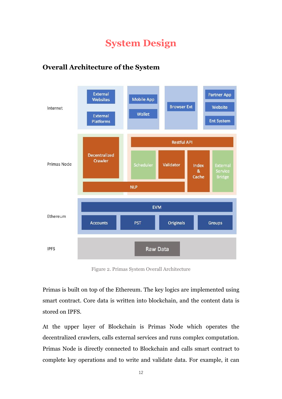## <span id="page-11-0"></span>**System Design**

## <span id="page-11-1"></span>**Overall Architecture of the System**



Figure 2. Primas System Overall Architecture

Primas is built on top of the Ethereum. The key logics are implemented using smart contract. Core data is written into blockchain, and the content data is stored on IPFS.

At the upper layer of Blockchain is Primas Node which operates the decentralized crawlers, calls external services and runs complex computation. Primas Node is directly connected to Blockchain and calls smart contract to complete key operations and to write and validate data. For example, it can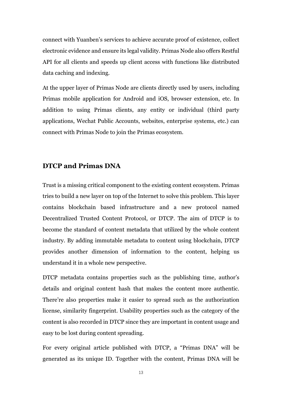connect with Yuanben's services to achieve accurate proof of existence, collect electronic evidence and ensure its legal validity. Primas Node also offers Restful API for all clients and speeds up client access with functions like distributed data caching and indexing.

At the upper layer of Primas Node are clients directly used by users, including Primas mobile application for Android and iOS, browser extension, etc. In addition to using Primas clients, any entity or individual (third party applications, Wechat Public Accounts, websites, enterprise systems, etc.) can connect with Primas Node to join the Primas ecosystem.

## <span id="page-12-0"></span>**DTCP and Primas DNA**

Trust is a missing critical component to the existing content ecosystem. Primas tries to build a new layer on top of the Internet to solve this problem. This layer contains blockchain based infrastructure and a new protocol named Decentralized Trusted Content Protocol, or DTCP. The aim of DTCP is to become the standard of content metadata that utilized by the whole content industry. By adding immutable metadata to content using blockchain, DTCP provides another dimension of information to the content, helping us understand it in a whole new perspective.

DTCP metadata contains properties such as the publishing time, author's details and original content hash that makes the content more authentic. There're also properties make it easier to spread such as the authorization license, similarity fingerprint. Usability properties such as the category of the content is also recorded in DTCP since they are important in content usage and easy to be lost during content spreading.

For every original article published with DTCP, a "Primas DNA" will be generated as its unique ID. Together with the content, Primas DNA will be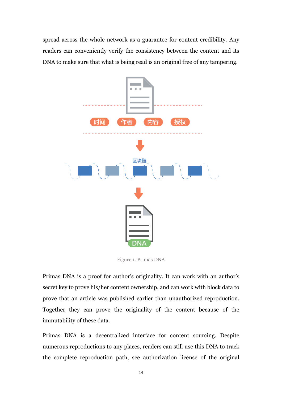spread across the whole network as a guarantee for content credibility. Any readers can conveniently verify the consistency between the content and its DNA to make sure that what is being read is an original free of any tampering.



Figure 1. Primas DNA

Primas DNA is a proof for author's originality. It can work with an author's secret key to prove his/her content ownership, and can work with block data to prove that an article was published earlier than unauthorized reproduction. Together they can prove the originality of the content because of the immutability of these data.

Primas DNA is a decentralized interface for content sourcing. Despite numerous reproductions to any places, readers can still use this DNA to track the complete reproduction path, see authorization license of the original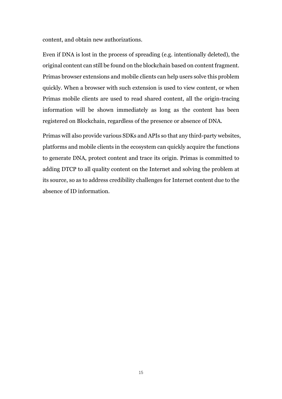content, and obtain new authorizations.

Even if DNA is lost in the process of spreading (e.g. intentionally deleted), the original content can still be found on the blockchain based on content fragment. Primas browser extensions and mobile clients can help users solve this problem quickly. When a browser with such extension is used to view content, or when Primas mobile clients are used to read shared content, all the origin-tracing information will be shown immediately as long as the content has been registered on Blockchain, regardless of the presence or absence of DNA.

Primas will also provide various SDKs and APIs so that any third-party websites, platforms and mobile clients in the ecosystem can quickly acquire the functions to generate DNA, protect content and trace its origin. Primas is committed to adding DTCP to all quality content on the Internet and solving the problem at its source, so as to address credibility challenges for Internet content due to the absence of ID information.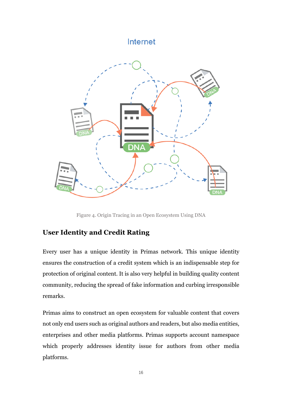## Internet



Figure 4. Origin Tracing in an Open Ecosystem Using DNA

## <span id="page-15-0"></span>**User Identity and Credit Rating**

Every user has a unique identity in Primas network. This unique identity ensures the construction of a credit system which is an indispensable step for protection of original content. It is also very helpful in building quality content community, reducing the spread of fake information and curbing irresponsible remarks.

Primas aims to construct an open ecosystem for valuable content that covers not only end users such as original authors and readers, but also media entities, enterprises and other media platforms. Primas supports account namespace which properly addresses identity issue for authors from other media platforms.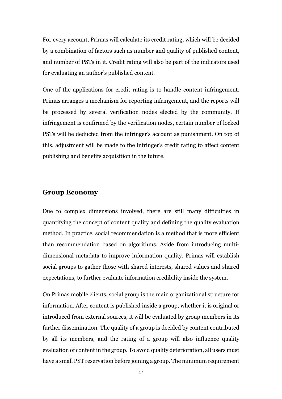For every account, Primas will calculate its credit rating, which will be decided by a combination of factors such as number and quality of published content, and number of PSTs in it. Credit rating will also be part of the indicators used for evaluating an author's published content.

One of the applications for credit rating is to handle content infringement. Primas arranges a mechanism for reporting infringement, and the reports will be processed by several verification nodes elected by the community. If infringement is confirmed by the verification nodes, certain number of locked PSTs will be deducted from the infringer's account as punishment. On top of this, adjustment will be made to the infringer's credit rating to affect content publishing and benefits acquisition in the future.

#### <span id="page-16-0"></span>**Group Economy**

Due to complex dimensions involved, there are still many difficulties in quantifying the concept of content quality and defining the quality evaluation method. In practice, social recommendation is a method that is more efficient than recommendation based on algorithms. Aside from introducing multidimensional metadata to improve information quality, Primas will establish social groups to gather those with shared interests, shared values and shared expectations, to further evaluate information credibility inside the system.

On Primas mobile clients, social group is the main organizational structure for information. After content is published inside a group, whether it is original or introduced from external sources, it will be evaluated by group members in its further dissemination. The quality of a group is decided by content contributed by all its members, and the rating of a group will also influence quality evaluation of content in the group. To avoid quality deterioration, all users must have a small PST reservation before joining a group. The minimum requirement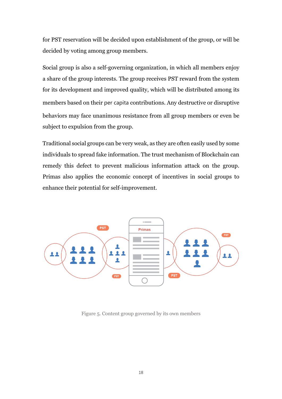for PST reservation will be decided upon establishment of the group, or will be decided by voting among group members.

Social group is also a self-governing organization, in which all members enjoy a share of the group interests. The group receives PST reward from the system for its development and improved quality, which will be distributed among its members based on their per capita contributions. Any destructive or disruptive behaviors may face unanimous resistance from all group members or even be subject to expulsion from the group.

Traditional social groups can be very weak, as they are often easily used by some individuals to spread fake information. The trust mechanism of Blockchain can remedy this defect to prevent malicious information attack on the group. Primas also applies the economic concept of incentives in social groups to enhance their potential for self-improvement.



Figure 5. Content group governed by its own members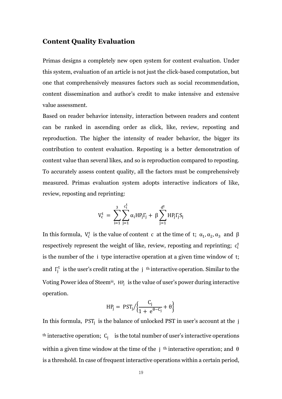### <span id="page-18-0"></span>**Content Quality Evaluation**

Primas designs a completely new open system for content evaluation. Under this system, evaluation of an article is not just the click-based computation, but one that comprehensively measures factors such as social recommendation, content dissemination and author's credit to make intensive and extensive value assessment.

Based on reader behavior intensity, interaction between readers and content can be ranked in ascending order as click, like, review, reposting and reproduction. The higher the intensity of reader behavior, the bigger its contribution to content evaluation. Reposting is a better demonstration of content value than several likes, and so is reproduction compared to reposting. To accurately assess content quality, all the factors must be comprehensively measured. Primas evaluation system adopts interactive indicators of like, review, reposting and reprinting:

$$
V_c^t = \sum_{i=1}^3 \sum_{j=1}^{c_i^t} \alpha_i H P_j \Gamma_j + \beta \sum_{j=1}^{d^t} H P_j \Gamma_j S_j
$$

In this formula,  $V_c^t$  is the value of content c at the time of t;  $\alpha_1, \alpha_2, \alpha_3$  and  $\beta$ respectively represent the weight of like, review, reposting and reprinting;  $c_i^t$ is the number of the i type interactive operation at a given time window of t; and  $\Gamma_j^t$  is the user's credit rating at the j<sup>th</sup> interactive operation. Similar to the Voting Power idea of Steem<sup>iii</sup>, HP<sub>j</sub> is the value of user's power during interactive operation.

$$
HP_j = \left. PST_j / \left\{ \frac{C_j}{1 + e^{\theta - C_j}} + \theta \right\} \right.
$$

In this formula,  $PST_j$  is the balance of unlocked PST in user's account at the j <sup>th</sup> interactive operation;  $C_j$  is the total number of user's interactive operations within a given time window at the time of the j <sup>th</sup> interactive operation; and  $\theta$ is a threshold. In case of frequent interactive operations within a certain period,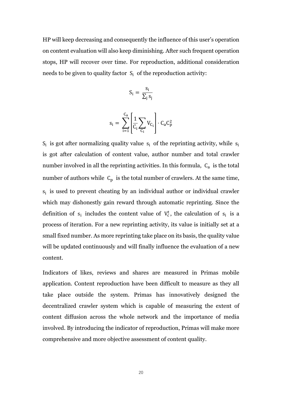HP will keep decreasing and consequently the influence of this user's operation on content evaluation will also keep diminishing. After such frequent operation stops, HP will recover over time. For reproduction, additional consideration needs to be given to quality factor  $S_i$  of the reproduction activity:

$$
S_i = \frac{s_i}{\sum_j s_j}
$$

$$
s_i = \sum_{i=1}^{C_a} \left[\frac{1}{C_i}\sum_{C_i}V_{C_i}\right] \cdot \textcolor{blue}{C_a C_p^2}
$$

 $S_i$  is got after normalizing quality value  $s_i$  of the reprinting activity, while  $s_i$ is got after calculation of content value, author number and total crawler number involved in all the reprinting activities. In this formula,  $C_a$  is the total number of authors while  $C_p$  is the total number of crawlers. At the same time,  $s_i$  is used to prevent cheating by an individual author or individual crawler which may dishonestly gain reward through automatic reprinting. Since the definition of  $s_i$  includes the content value of  $V_c^t$ , the calculation of  $s_i$  is a process of iteration. For a new reprinting activity, its value is initially set at a small fixed number. As more reprinting take place on its basis, the quality value will be updated continuously and will finally influence the evaluation of a new content.

Indicators of likes, reviews and shares are measured in Primas mobile application. Content reproduction have been difficult to measure as they all take place outside the system. Primas has innovatively designed the decentralized crawler system which is capable of measuring the extent of content diffusion across the whole network and the importance of media involved. By introducing the indicator of reproduction, Primas will make more comprehensive and more objective assessment of content quality.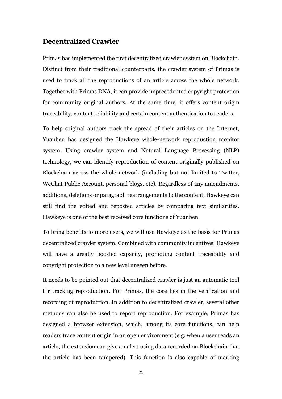### <span id="page-20-0"></span>**Decentralized Crawler**

Primas has implemented the first decentralized crawler system on Blockchain. Distinct from their traditional counterparts, the crawler system of Primas is used to track all the reproductions of an article across the whole network. Together with Primas DNA, it can provide unprecedented copyright protection for community original authors. At the same time, it offers content origin traceability, content reliability and certain content authentication to readers.

To help original authors track the spread of their articles on the Internet, Yuanben has designed the Hawkeye whole-network reproduction monitor system. Using crawler system and Natural Language Processing (NLP) technology, we can identify reproduction of content originally published on Blockchain across the whole network (including but not limited to Twitter, WeChat Public Account, personal blogs, etc). Regardless of any amendments, additions, deletions or paragraph rearrangements to the content, Hawkeye can still find the edited and reposted articles by comparing text similarities. Hawkeye is one of the best received core functions of Yuanben.

To bring benefits to more users, we will use Hawkeye as the basis for Primas decentralized crawler system. Combined with community incentives, Hawkeye will have a greatly boosted capacity, promoting content traceability and copyright protection to a new level unseen before.

It needs to be pointed out that decentralized crawler is just an automatic tool for tracking reproduction. For Primas, the core lies in the verification and recording of reproduction. In addition to decentralized crawler, several other methods can also be used to report reproduction. For example, Primas has designed a browser extension, which, among its core functions, can help readers trace content origin in an open environment (e.g. when a user reads an article, the extension can give an alert using data recorded on Blockchain that the article has been tampered). This function is also capable of marking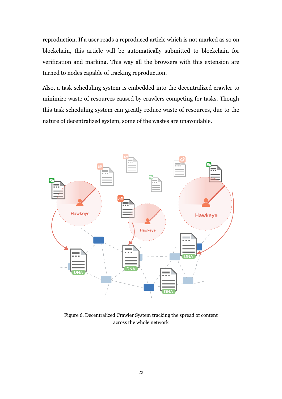reproduction. If a user reads a reproduced article which is not marked as so on blockchain, this article will be automatically submitted to blockchain for verification and marking. This way all the browsers with this extension are turned to nodes capable of tracking reproduction.

Also, a task scheduling system is embedded into the decentralized crawler to minimize waste of resources caused by crawlers competing for tasks. Though this task scheduling system can greatly reduce waste of resources, due to the nature of decentralized system, some of the wastes are unavoidable.



Figure 6. Decentralized Crawler System tracking the spread of content across the whole network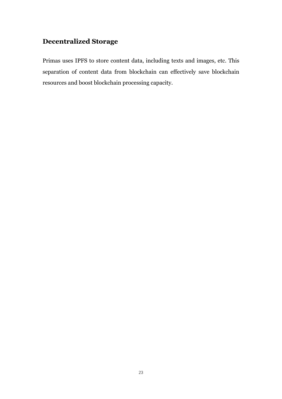## <span id="page-22-0"></span>**Decentralized Storage**

Primas uses IPFS to store content data, including texts and images, etc. This separation of content data from blockchain can effectively save blockchain resources and boost blockchain processing capacity.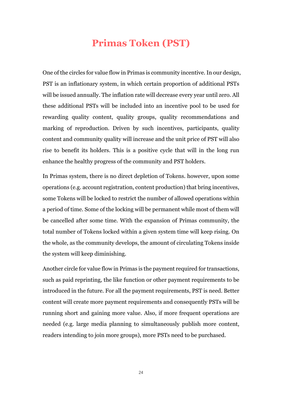## **Primas Token (PST)**

<span id="page-23-0"></span>One of the circles for value flow in Primas is community incentive. In our design, PST is an inflationary system, in which certain proportion of additional PSTs will be issued annually. The inflation rate will decrease every year until zero. All these additional PSTs will be included into an incentive pool to be used for rewarding quality content, quality groups, quality recommendations and marking of reproduction. Driven by such incentives, participants, quality content and community quality will increase and the unit price of PST will also rise to benefit its holders. This is a positive cycle that will in the long run enhance the healthy progress of the community and PST holders.

In Primas system, there is no direct depletion of Tokens. however, upon some operations (e.g. account registration, content production) that bring incentives, some Tokens will be locked to restrict the number of allowed operations within a period of time. Some of the locking will be permanent while most of them will be cancelled after some time. With the expansion of Primas community, the total number of Tokens locked within a given system time will keep rising. On the whole, as the community develops, the amount of circulating Tokens inside the system will keep diminishing.

Another circle for value flow in Primas is the payment required for transactions, such as paid reprinting, the like function or other payment requirements to be introduced in the future. For all the payment requirements, PST is need. Better content will create more payment requirements and consequently PSTs will be running short and gaining more value. Also, if more frequent operations are needed (e.g. large media planning to simultaneously publish more content, readers intending to join more groups), more PSTs need to be purchased.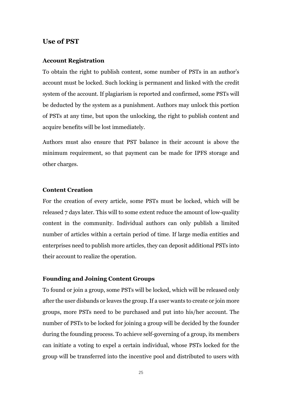#### <span id="page-24-0"></span>**Use of PST**

### **Account Registration**

To obtain the right to publish content, some number of PSTs in an author's account must be locked. Such locking is permanent and linked with the credit system of the account. If plagiarism is reported and confirmed, some PSTs will be deducted by the system as a punishment. Authors may unlock this portion of PSTs at any time, but upon the unlocking, the right to publish content and acquire benefits will be lost immediately.

Authors must also ensure that PST balance in their account is above the minimum requirement, so that payment can be made for IPFS storage and other charges.

#### **Content Creation**

For the creation of every article, some PSTs must be locked, which will be released 7 days later. This will to some extent reduce the amount of low-quality content in the community. Individual authors can only publish a limited number of articles within a certain period of time. If large media entities and enterprises need to publish more articles, they can deposit additional PSTs into their account to realize the operation.

#### **Founding and Joining Content Groups**

To found or join a group, some PSTs will be locked, which will be released only after the user disbands or leaves the group.If a user wants to create or join more groups, more PSTs need to be purchased and put into his/her account. The number of PSTs to be locked for joining a group will be decided by the founder during the founding process. To achieve self-governing of a group, its members can initiate a voting to expel a certain individual, whose PSTs locked for the group will be transferred into the incentive pool and distributed to users with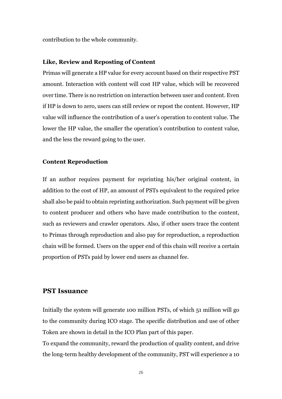contribution to the whole community.

#### **Like, Review and Reposting of Content**

Primas will generate a HP value for every account based on their respective PST amount. Interaction with content will cost HP value, which will be recovered over time. There is no restriction on interaction between user and content. Even if HP is down to zero, users can still review or repost the content. However, HP value will influence the contribution of a user's operation to content value. The lower the HP value, the smaller the operation's contribution to content value, and the less the reward going to the user.

#### **Content Reproduction**

If an author requires payment for reprinting his/her original content, in addition to the cost of HP, an amount of PSTs equivalent to the required price shall also be paid to obtain reprinting authorization. Such payment will be given to content producer and others who have made contribution to the content, such as reviewers and crawler operators. Also, if other users trace the content to Primas through reproduction and also pay for reproduction, a reproduction chain will be formed. Users on the upper end of this chain will receive a certain proportion of PSTs paid by lower end users as channel fee.

### <span id="page-25-0"></span>**PST Issuance**

Initially the system will generate 100 million PSTs, of which 51 million will go to the community during ICO stage. The specific distribution and use of other Token are shown in detail in the ICO Plan part of this paper.

To expand the community, reward the production of quality content, and drive the long-term healthy development of the community, PST will experience a 10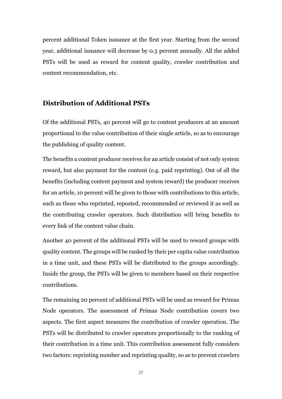percent additional Token issuance at the first year. Starting from the second year, additional issuance will decrease by 0.5 percent annually. All the added PSTs will be used as reward for content quality, crawler contribution and content recommendation, etc.

## <span id="page-26-0"></span>**Distribution of Additional PSTs**

Of the additional PSTs, 40 percent will go to content producers at an amount proportional to the value contribution of their single article, so as to encourage the publishing of quality content.

The benefits a content producer receives for an article consist of not only system reward, but also payment for the content (e.g. paid reprinting). Out of all the benefits (including content payment and system reward) the producer receives for an article, 10 percent will be given to those with contributions to this article, such as those who reprinted, reposted, recommended or reviewed it as well as the contributing crawler operators. Such distribution will bring benefits to every link of the content value chain.

Another 40 percent of the additional PSTs will be used to reward groups with quality content. The groups will be ranked by their per capita value contribution in a time unit, and these PSTs will be distributed to the groups accordingly. Inside the group, the PSTs will be given to members based on their respective contributions.

The remaining 20 percent of additional PSTs will be used as reward for Primas Node operators. The assessment of Primas Node contribution covers two aspects. The first aspect measures the contribution of crawler operation. The PSTs will be distributed to crawler operators proportionally to the ranking of their contribution in a time unit. This contribution assessment fully considers two factors: reprinting number and reprinting quality, so as to prevent crawlers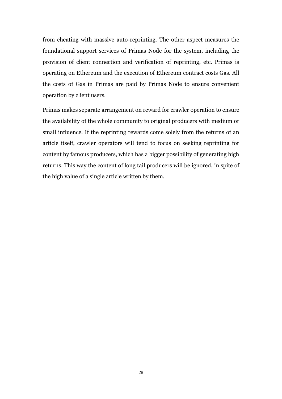from cheating with massive auto-reprinting. The other aspect measures the foundational support services of Primas Node for the system, including the provision of client connection and verification of reprinting, etc. Primas is operating on Ethereum and the execution of Ethereum contract costs Gas. All the costs of Gas in Primas are paid by Primas Node to ensure convenient operation by client users.

Primas makes separate arrangement on reward for crawler operation to ensure the availability of the whole community to original producers with medium or small influence. If the reprinting rewards come solely from the returns of an article itself, crawler operators will tend to focus on seeking reprinting for content by famous producers, which has a bigger possibility of generating high returns. This way the content of long tail producers will be ignored, in spite of the high value of a single article written by them.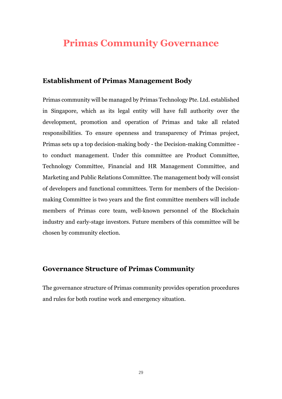## <span id="page-28-0"></span>**Primas Community Governance**

## <span id="page-28-1"></span>**Establishment of Primas Management Body**

Primas community will be managed by Primas Technology Pte. Ltd. established in Singapore, which as its legal entity will have full authority over the development, promotion and operation of Primas and take all related responsibilities. To ensure openness and transparency of Primas project, Primas sets up a top decision-making body - the Decision-making Committee to conduct management. Under this committee are Product Committee, Technology Committee, Financial and HR Management Committee, and Marketing and Public Relations Committee. The management body will consist of developers and functional committees. Term for members of the Decisionmaking Committee is two years and the first committee members will include members of Primas core team, well-known personnel of the Blockchain industry and early-stage investors. Future members of this committee will be chosen by community election.

## <span id="page-28-2"></span>**Governance Structure of Primas Community**

The governance structure of Primas community provides operation procedures and rules for both routine work and emergency situation.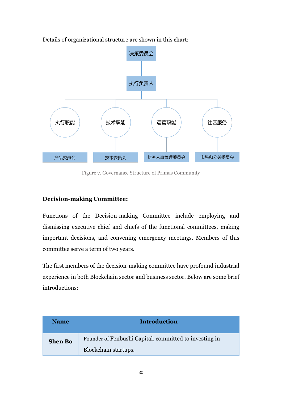

Details of organizational structure are shown in this chart:

Figure 7. Governance Structure of Primas Community

## **Decision-making Committee:**

Functions of the Decision-making Committee include employing and dismissing executive chief and chiefs of the functional committees, making important decisions, and convening emergency meetings. Members of this committee serve a term of two years.

The first members of the decision-making committee have profound industrial experience in both Blockchain sector and business sector. Below are some brief introductions:

| <b>Name</b>    | <b>Introduction</b>                                    |  |
|----------------|--------------------------------------------------------|--|
| <b>Shen Bo</b> | Founder of Fenbushi Capital, committed to investing in |  |
|                | Blockchain startups.                                   |  |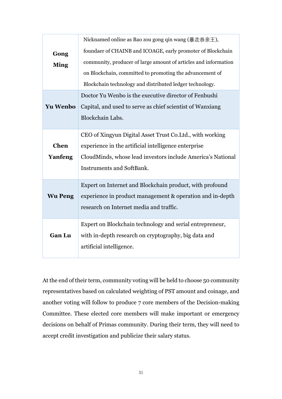|                 | Nicknamed online as Bao zou gong qin wang (暴走恭亲王),              |  |  |  |  |
|-----------------|-----------------------------------------------------------------|--|--|--|--|
| Gong            | foundaer of CHAINB and ICOAGE, early promoter of Blockchain     |  |  |  |  |
| <b>Ming</b>     | community, producer of large amount of articles and information |  |  |  |  |
|                 | on Blockchain, committed to promoting the advancement of        |  |  |  |  |
|                 | Blockchain technology and distributed ledger technology.        |  |  |  |  |
|                 | Doctor Yu Wenbo is the executive director of Fenbushi           |  |  |  |  |
| <b>Yu Wenbo</b> | Capital, and used to serve as chief scientist of Wanxiang       |  |  |  |  |
|                 | Blockchain Labs.                                                |  |  |  |  |
|                 | CEO of Xingyun Digital Asset Trust Co. Ltd., with working       |  |  |  |  |
| <b>Chen</b>     | experience in the artificial intelligence enterprise            |  |  |  |  |
| Yanfeng         | CloudMinds, whose lead investors include America's National     |  |  |  |  |
|                 | <b>Instruments and SoftBank.</b>                                |  |  |  |  |
|                 |                                                                 |  |  |  |  |
|                 | Expert on Internet and Blockchain product, with profound        |  |  |  |  |
| <b>Wu Peng</b>  | experience in product management & operation and in-depth       |  |  |  |  |
|                 | research on Internet media and traffic.                         |  |  |  |  |
|                 | Expert on Blockchain technology and serial entrepreneur,        |  |  |  |  |
| <b>Gan Lu</b>   | with in-depth research on cryptography, big data and            |  |  |  |  |
|                 | artificial intelligence.                                        |  |  |  |  |
|                 |                                                                 |  |  |  |  |

At the end of their term, community voting will be held to choose 50 community representatives based on calculated weighting of PST amount and coinage, and another voting will follow to produce 7 core members of the Decision-making Committee. These elected core members will make important or emergency decisions on behalf of Primas community. During their term, they will need to accept credit investigation and publicize their salary status.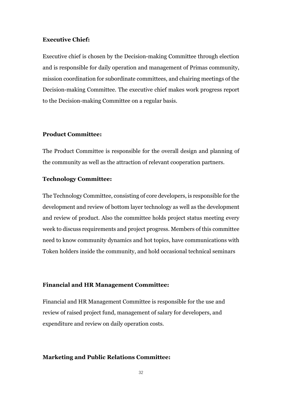#### **Executive Chief:**

Executive chief is chosen by the Decision-making Committee through election and is responsible for daily operation and management of Primas community, mission coordination for subordinate committees, and chairing meetings of the Decision-making Committee. The executive chief makes work progress report to the Decision-making Committee on a regular basis.

#### **Product Committee:**

The Product Committee is responsible for the overall design and planning of the community as well as the attraction of relevant cooperation partners.

#### **Technology Committee:**

The Technology Committee, consisting of core developers, is responsible for the development and review of bottom layer technology as well as the development and review of product. Also the committee holds project status meeting every week to discuss requirements and project progress. Members of this committee need to know community dynamics and hot topics, have communications with Token holders inside the community, and hold occasional technical seminars

#### **Financial and HR Management Committee:**

Financial and HR Management Committee is responsible for the use and review of raised project fund, management of salary for developers, and expenditure and review on daily operation costs.

#### **Marketing and Public Relations Committee:**

32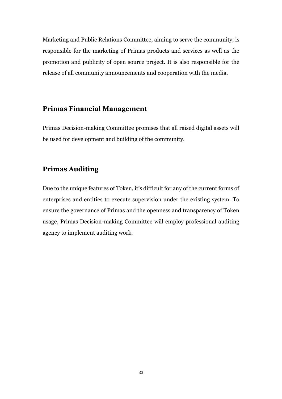Marketing and Public Relations Committee, aiming to serve the community, is responsible for the marketing of Primas products and services as well as the promotion and publicity of open source project. It is also responsible for the release of all community announcements and cooperation with the media.

### <span id="page-32-0"></span>**Primas Financial Management**

Primas Decision-making Committee promises that all raised digital assets will be used for development and building of the community.

## <span id="page-32-1"></span>**Primas Auditing**

Due to the unique features of Token, it's difficult for any of the current forms of enterprises and entities to execute supervision under the existing system. To ensure the governance of Primas and the openness and transparency of Token usage, Primas Decision-making Committee will employ professional auditing agency to implement auditing work.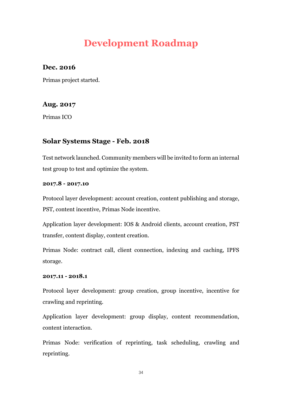# **Development Roadmap**

## <span id="page-33-0"></span>**Dec. 2016**

Primas project started.

## **Aug. 2017**

Primas ICO

## **Solar Systems Stage - Feb. 2018**

Test network launched. Community members will be invited to form an internal test group to test and optimize the system.

### **2017.8 - 2017.10**

Protocol layer development: account creation, content publishing and storage, PST, content incentive, Primas Node incentive.

Application layer development: IOS & Android clients, account creation, PST transfer, content display, content creation.

Primas Node: contract call, client connection, indexing and caching, IPFS storage.

### **2017.11 - 2018.1**

Protocol layer development: group creation, group incentive, incentive for crawling and reprinting.

Application layer development: group display, content recommendation, content interaction.

Primas Node: verification of reprinting, task scheduling, crawling and reprinting.

34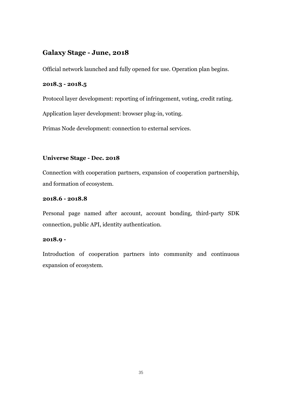## **Galaxy Stage - June, 2018**

Official network launched and fully opened for use. Operation plan begins.

### **2018.3 - 2018.5**

Protocol layer development: reporting of infringement, voting, credit rating.

Application layer development: browser plug-in, voting.

Primas Node development: connection to external services.

### **Universe Stage - Dec. 2018**

Connection with cooperation partners, expansion of cooperation partnership, and formation of ecosystem.

#### **2018.6 - 2018.8**

Personal page named after account, account bonding, third-party SDK connection, public API, identity authentication.

#### **2018.9 -**

Introduction of cooperation partners into community and continuous expansion of ecosystem.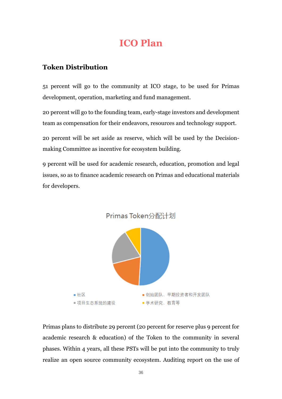## **ICO Plan**

## <span id="page-35-1"></span><span id="page-35-0"></span>**Token Distribution**

51 percent will go to the community at ICO stage, to be used for Primas development, operation, marketing and fund management.

20 percent will go to the founding team, early-stage investors and development team as compensation for their endeavors, resources and technology support.

20 percent will be set aside as reserve, which will be used by the Decisionmaking Committee as incentive for ecosystem building.

9 percent will be used for academic research, education, promotion and legal issues, so as to finance academic research on Primas and educational materials for developers.



Primas plans to distribute 29 percent (20 percent for reserve plus 9 percent for academic research & education) of the Token to the community in several phases. Within 4 years, all these PSTs will be put into the community to truly realize an open source community ecosystem. Auditing report on the use of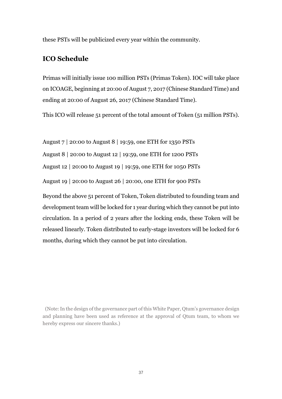<span id="page-36-0"></span>these PSTs will be publicized every year within the community.

## **ICO Schedule**

Primas will initially issue 100 million PSTs (Primas Token). IOC will take place on ICOAGE, beginning at 20:00 of August 7, 2017 (Chinese Standard Time) and ending at 20:00 of August 26, 2017 (Chinese Standard Time).

This ICO will release 51 percent of the total amount of Token (51 million PSTs).

August 7 | 20:00 to August 8 | 19:59, one ETH for 1350 PSTs

August 8 | 20:00 to August 12 | 19:59, one ETH for 1200 PSTs

August 12 | 20:00 to August 19 | 19:59, one ETH for 1050 PSTs

August 19 | 20:00 to August 26 | 20:00, one ETH for 900 PSTs

Beyond the above 51 percent of Token, Token distributed to founding team and development team will be locked for 1 year during which they cannot be put into circulation. In a period of 2 years after the locking ends, these Token will be released linearly. Token distributed to early-stage investors will be locked for 6 months, during which they cannot be put into circulation.

(Note: In the design of the governance part of this White Paper, Qtum's governance design and planning have been used as reference at the approval of Qtum team, to whom we hereby express our sincere thanks.)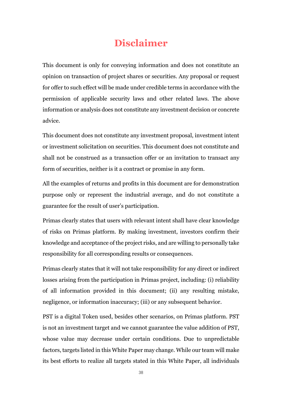## **Disclaimer**

<span id="page-37-0"></span>This document is only for conveying information and does not constitute an opinion on transaction of project shares or securities. Any proposal or request for offer to such effect will be made under credible terms in accordance with the permission of applicable security laws and other related laws. The above information or analysis does not constitute any investment decision or concrete advice.

This document does not constitute any investment proposal, investment intent or investment solicitation on securities. This document does not constitute and shall not be construed as a transaction offer or an invitation to transact any form of securities, neither is it a contract or promise in any form.

All the examples of returns and profits in this document are for demonstration purpose only or represent the industrial average, and do not constitute a guarantee for the result of user's participation.

Primas clearly states that users with relevant intent shall have clear knowledge of risks on Primas platform. By making investment, investors confirm their knowledge and acceptance of the project risks, and are willing to personally take responsibility for all corresponding results or consequences.

Primas clearly states that it will not take responsibility for any direct or indirect losses arising from the participation in Primas project, including: (i) reliability of all information provided in this document; (ii) any resulting mistake, negligence, or information inaccuracy; (iii) or any subsequent behavior.

PST is a digital Token used, besides other scenarios, on Primas platform. PST is not an investment target and we cannot guarantee the value addition of PST, whose value may decrease under certain conditions. Due to unpredictable factors, targets listed in this White Paper may change. While our team will make its best efforts to realize all targets stated in this White Paper, all individuals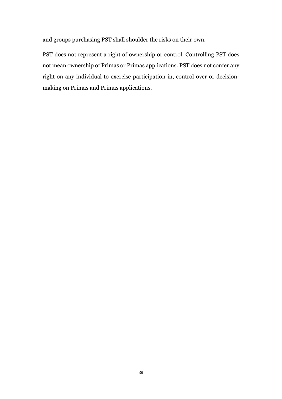and groups purchasing PST shall shoulder the risks on their own.

PST does not represent a right of ownership or control. Controlling PST does not mean ownership of Primas or Primas applications. PST does not confer any right on any individual to exercise participation in, control over or decisionmaking on Primas and Primas applications.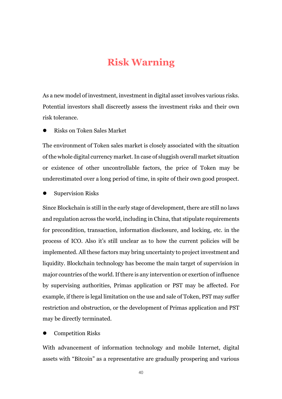## **Risk Warning**

<span id="page-39-0"></span>As a new model of investment, investment in digital asset involves various risks. Potential investors shall discreetly assess the investment risks and their own risk tolerance.

Risks on Token Sales Market

The environment of Token sales market is closely associated with the situation of the whole digital currency market. In case of sluggish overall market situation or existence of other uncontrollable factors, the price of Token may be underestimated over a long period of time, in spite of their own good prospect.

Supervision Risks

Since Blockchain is still in the early stage of development, there are still no laws and regulation across the world, including in China, that stipulate requirements for precondition, transaction, information disclosure, and locking, etc. in the process of ICO. Also it's still unclear as to how the current policies will be implemented. All these factors may bring uncertainty to project investment and liquidity. Blockchain technology has become the main target of supervision in major countries of the world. If there is any intervention or exertion of influence by supervising authorities, Primas application or PST may be affected. For example, if there is legal limitation on the use and sale of Token, PST may suffer restriction and obstruction, or the development of Primas application and PST may be directly terminated.

#### Competition Risks

With advancement of information technology and mobile Internet, digital assets with "Bitcoin" as a representative are gradually prospering and various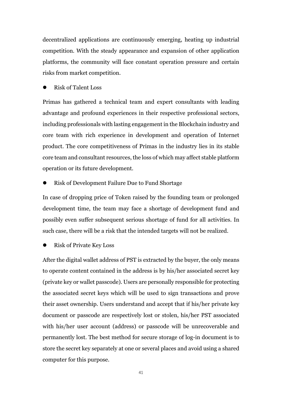decentralized applications are continuously emerging, heating up industrial competition. With the steady appearance and expansion of other application platforms, the community will face constant operation pressure and certain risks from market competition.

Risk of Talent Loss

Primas has gathered a technical team and expert consultants with leading advantage and profound experiences in their respective professional sectors, including professionals with lasting engagement in the Blockchain industry and core team with rich experience in development and operation of Internet product. The core competitiveness of Primas in the industry lies in its stable core team and consultant resources, the loss of which may affect stable platform operation or its future development.

Risk of Development Failure Due to Fund Shortage

In case of dropping price of Token raised by the founding team or prolonged development time, the team may face a shortage of development fund and possibly even suffer subsequent serious shortage of fund for all activities. In such case, there will be a risk that the intended targets will not be realized.

Risk of Private Key Loss

After the digital wallet address of PST is extracted by the buyer, the only means to operate content contained in the address is by his/her associated secret key (private key or wallet passcode). Users are personally responsible for protecting the associated secret keys which will be used to sign transactions and prove their asset ownership. Users understand and accept that if his/her private key document or passcode are respectively lost or stolen, his/her PST associated with his/her user account (address) or passcode will be unrecoverable and permanently lost. The best method for secure storage of log-in document is to store the secret key separately at one or several places and avoid using a shared computer for this purpose.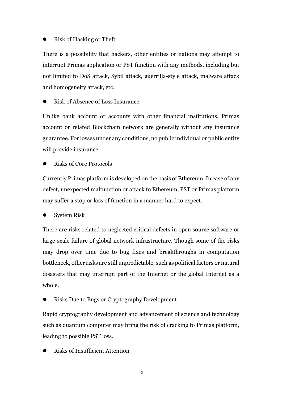#### Risk of Hacking or Theft

There is a possibility that hackers, other entities or nations may attempt to interrupt Primas application or PST function with any methods, including but not limited to DoS attack, Sybil attack, guerrilla-style attack, malware attack and homogeneity attack, etc.

Risk of Absence of Loss Insurance

Unlike bank account or accounts with other financial institutions, Primas account or related Blockchain network are generally without any insurance guarantee. For losses under any conditions, no public individual or public entity will provide insurance.

Risks of Core Protocols

Currently Primas platform is developed on the basis of Ethereum. In case of any defect, unexpected malfunction or attack to Ethereum, PST or Primas platform may suffer a stop or loss of function in a manner hard to expect.

System Risk

There are risks related to neglected critical defects in open source software or large-scale failure of global network infrastructure. Though some of the risks may drop over time due to bug fixes and breakthroughs in computation bottleneck, other risks are still unpredictable, such as political factors or natural disasters that may interrupt part of the Internet or the global Internet as a whole.

Risks Due to Bugs or Cryptography Development

Rapid cryptography development and advancement of science and technology such as [quantum computer](http://dict.youdao.com/w/quantum%20computer/#keyfrom=E2Ctranslation) may bring the risk of cracking to Primas platform, leading to possible PST loss.

Risks of Insufficient Attention

42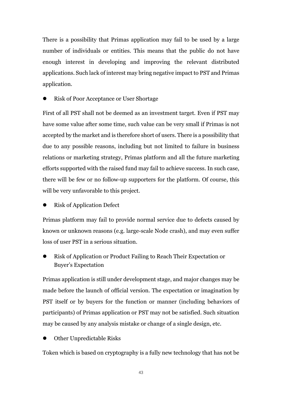There is a possibility that Primas application may fail to be used by a large number of individuals or entities. This means that the public do not have enough interest in developing and improving the relevant distributed applications. Such lack of interest may bring negative impact to PST and Primas application.

Risk of Poor Acceptance or User Shortage

First of all PST shall not be deemed as an investment target. Even if PST may have some value after some time, such value can be very small if Primas is not accepted by the market and is therefore short of users. There is a possibility that due to any possible reasons, including but not limited to failure in business relations or marketing strategy, Primas platform and all the future marketing efforts supported with the raised fund may fail to achieve success. In such case, there will be few or no follow-up supporters for the platform. Of course, this will be very unfavorable to this project.

Risk of Application Defect

Primas platform may fail to provide normal service due to defects caused by known or unknown reasons (e.g. large-scale Node crash), and may even suffer loss of user PST in a serious situation.

 Risk of Application or Product Failing to Reach Their Expectation or Buyer's Expectation

Primas application is still under development stage, and major changes may be made before the launch of official version. The expectation or imagination by PST itself or by buyers for the function or manner (including behaviors of participants) of Primas application or PST may not be satisfied. Such situation may be caused by any analysis mistake or change of a single design, etc.

Other Unpredictable Risks

Token which is based on cryptography is a fully new technology that has not be

43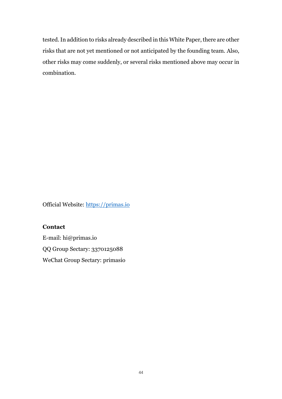tested. In addition to risks already described in this White Paper, there are other risks that are not yet mentioned or not anticipated by the founding team. Also, other risks may come suddenly, or several risks mentioned above may occur in combination.

Official Website: [https://primas.io](https://primas.io/)

#### **Contact**

E-mail: hi@primas.io QQ Group Sectary: 3370125088 WeChat Group Sectary: primasio